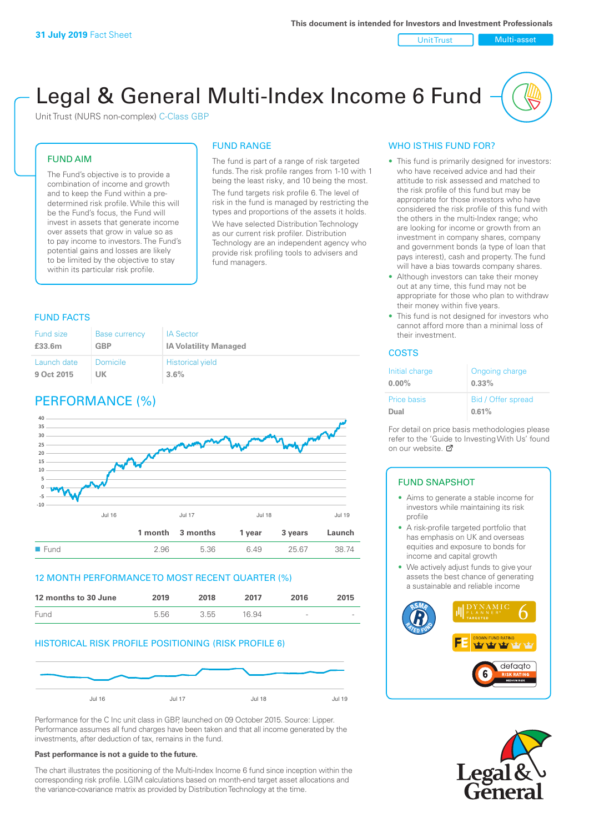Unit Trust Nulti-asset

# Legal & General Multi-Index Income 6 Fund

Unit Trust (NURS non-complex) C-Class GBP

#### FUND AIM

The Fund's objective is to provide a combination of income and growth and to keep the Fund within a predetermined risk profile. While this will be the Fund's focus, the Fund will invest in assets that generate income over assets that grow in value so as to pay income to investors. The Fund's potential gains and losses are likely to be limited by the objective to stay within its particular risk profile.

#### FUND RANGE

The fund is part of a range of risk targeted funds. The risk profile ranges from 1-10 with 1 being the least risky, and 10 being the most. The fund targets risk profile 6. The level of risk in the fund is managed by restricting the types and proportions of the assets it holds. We have selected Distribution Technology as our current risk profiler. Distribution Technology are an independent agency who provide risk profiling tools to advisers and fund managers.

#### FUND FACTS

| Fund size   | <b>Base currency</b> | <b>IA Sector</b>             |
|-------------|----------------------|------------------------------|
| £33.6m      | <b>GBP</b>           | <b>IA Volatility Managed</b> |
| Launch date | <b>Domicile</b>      | <b>Historical yield</b>      |
| 9 Oct 2015  | UK                   | 3.6%                         |

## PERFORMANCE (%)



#### 12 MONTH PERFORMANCE TO MOST RECENT QUARTER (%)



#### HISTORICAL RISK PROFILE POSITIONING (RISK PROFILE 6)



Performance for the C Inc unit class in GBP, launched on 09 October 2015. Source: Lipper. Performance assumes all fund charges have been taken and that all income generated by the investments, after deduction of tax, remains in the fund.

#### **Past performance is not a guide to the future.**

The chart illustrates the positioning of the Multi-Index Income 6 fund since inception within the corresponding risk profile. LGIM calculations based on month-end target asset allocations and the variance-covariance matrix as provided by Distribution Technology at the time.

#### WHO IS THIS FUND FOR?

- This fund is primarily designed for investors: who have received advice and had their attitude to risk assessed and matched to the risk profile of this fund but may be appropriate for those investors who have considered the risk profile of this fund with the others in the multi-Index range; who are looking for income or growth from an investment in company shares, company and government bonds (a type of loan that pays interest), cash and property. The fund will have a bias towards company shares.
- Although investors can take their money out at any time, this fund may not be appropriate for those who plan to withdraw their money within five years.
- This fund is not designed for investors who cannot afford more than a minimal loss of their investment.

#### **COSTS**

| Initial charge<br>$0.00\%$ | Ongoing charge<br>0.33% |
|----------------------------|-------------------------|
| <b>Price basis</b>         | Bid / Offer spread      |
| Dual                       | 0.61%                   |

For detail on price basis methodologies please refer to the 'Guide to Investing With Us' found on our website. [7]

#### FUND SNAPSHOT

- Aims to generate a stable income for investors while maintaining its risk profile
- A risk-profile targeted portfolio that has emphasis on UK and overseas equities and exposure to bonds for income and capital growth
- We actively adjust funds to give your assets the best chance of generating a sustainable and reliable income



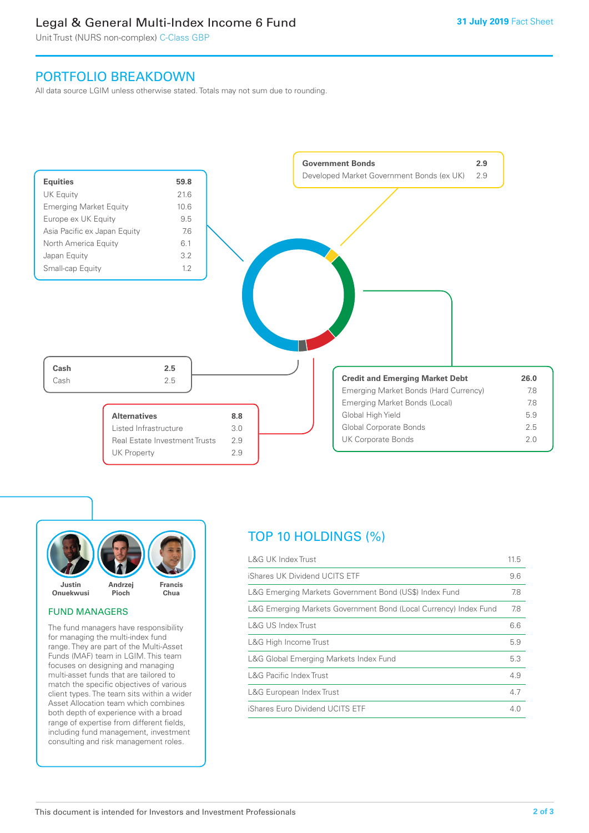## Legal & General Multi-Index Income 6 Fund

Unit Trust (NURS non-complex) C-Class GBP

### PORTFOLIO BREAKDOWN

All data source LGIM unless otherwise stated. Totals may not sum due to rounding.





#### FUND MANAGERS

The fund managers have responsibility for managing the multi-index fund range. They are part of the Multi-Asset Funds (MAF) team in LGIM. This team focuses on designing and managing multi-asset funds that are tailored to match the specific objectives of various client types. The team sits within a wider Asset Allocation team which combines both depth of experience with a broad range of expertise from different fields, including fund management, investment consulting and risk management roles.

## TOP 10 HOLDINGS (%)

| <b>L&amp;G UK Index Trust</b>                                    | 11.5 |
|------------------------------------------------------------------|------|
| iShares UK Dividend UCITS ETF                                    | 9.6  |
| L&G Emerging Markets Government Bond (US\$) Index Fund           | 7.8  |
| L&G Emerging Markets Government Bond (Local Currency) Index Fund | 7.8  |
| <b>L&amp;G US Index Trust</b>                                    | 6.6  |
| L&G High Income Trust                                            | 5.9  |
| L&G Global Emerging Markets Index Fund                           | 5.3  |
| <b>L&amp;G Pacific Index Trust</b>                               | 4.9  |
| L&G European Index Trust                                         | 4.7  |
| iShares Euro Dividend UCITS ETF                                  | 4.0  |